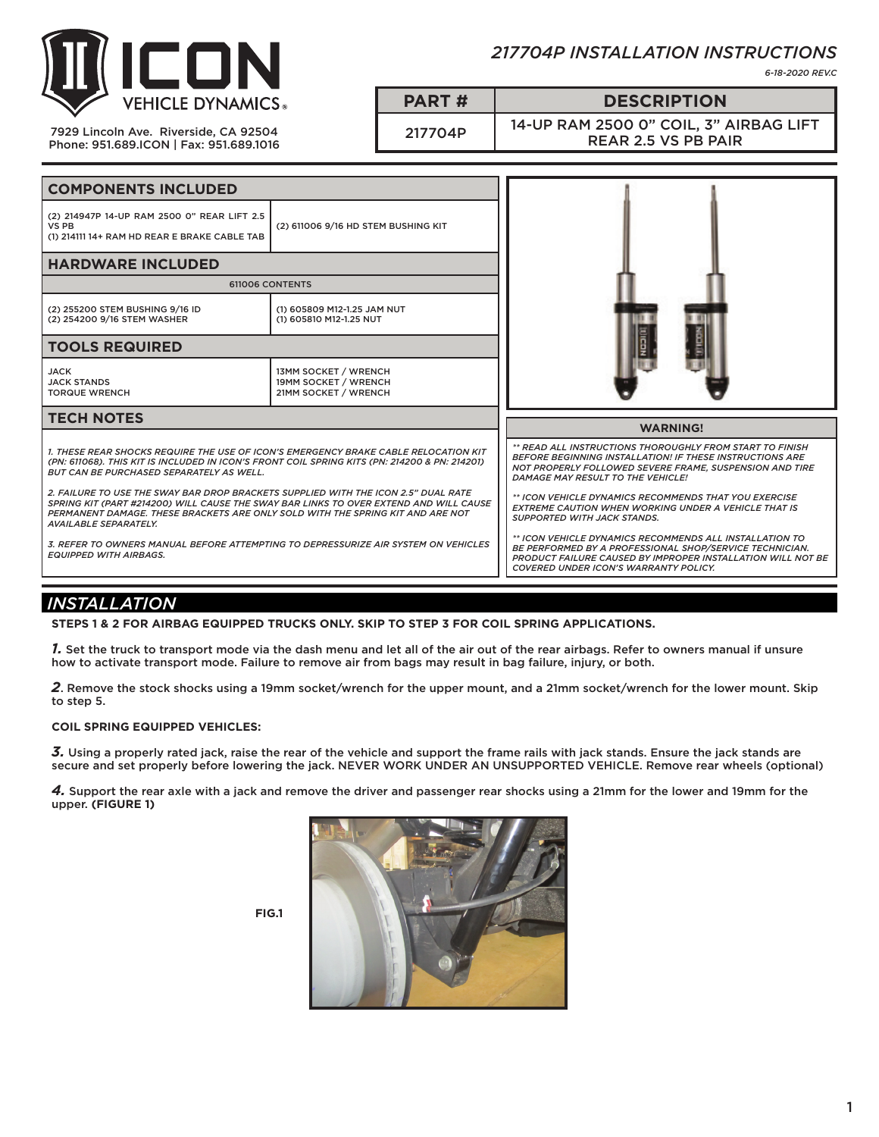

7929 Lincoln Ave. Riverside, CA 92504 Phone: 951.689.ICON | Fax: 951.689.1016 *217704P INSTALLATION INSTRUCTIONS*

*6-18-2020 REV.C*

**PART # DESCRIPTION**

217704P 14-UP RAM 2500 0" COIL, 3" AIRBAG LIFT REAR 2.5 VS PB PAIR

| <b>COMPONENTS INCLUDED</b>                                                                                                                                                                                                                                                                                                                                                                                                                                                                                                                                                                                                                                      |                                                                      |                                                                                                                                                                                                                                                                                                                                                                                                                                                                                                                                                                                |
|-----------------------------------------------------------------------------------------------------------------------------------------------------------------------------------------------------------------------------------------------------------------------------------------------------------------------------------------------------------------------------------------------------------------------------------------------------------------------------------------------------------------------------------------------------------------------------------------------------------------------------------------------------------------|----------------------------------------------------------------------|--------------------------------------------------------------------------------------------------------------------------------------------------------------------------------------------------------------------------------------------------------------------------------------------------------------------------------------------------------------------------------------------------------------------------------------------------------------------------------------------------------------------------------------------------------------------------------|
| (2) 214947P 14-UP RAM 2500 0" REAR LIFT 2.5<br>VS PB<br>(1) 214111 14+ RAM HD REAR E BRAKE CABLE TAB                                                                                                                                                                                                                                                                                                                                                                                                                                                                                                                                                            | (2) 611006 9/16 HD STEM BUSHING KIT                                  |                                                                                                                                                                                                                                                                                                                                                                                                                                                                                                                                                                                |
| <b>HARDWARE INCLUDED</b>                                                                                                                                                                                                                                                                                                                                                                                                                                                                                                                                                                                                                                        |                                                                      |                                                                                                                                                                                                                                                                                                                                                                                                                                                                                                                                                                                |
| 611006 CONTENTS                                                                                                                                                                                                                                                                                                                                                                                                                                                                                                                                                                                                                                                 |                                                                      |                                                                                                                                                                                                                                                                                                                                                                                                                                                                                                                                                                                |
| (2) 255200 STEM BUSHING 9/16 ID<br>(2) 254200 9/16 STEM WASHER                                                                                                                                                                                                                                                                                                                                                                                                                                                                                                                                                                                                  | (1) 605809 M12-1.25 JAM NUT<br>(1) 605810 M12-1.25 NUT               |                                                                                                                                                                                                                                                                                                                                                                                                                                                                                                                                                                                |
| <b>TOOLS REQUIRED</b>                                                                                                                                                                                                                                                                                                                                                                                                                                                                                                                                                                                                                                           |                                                                      |                                                                                                                                                                                                                                                                                                                                                                                                                                                                                                                                                                                |
| JACK<br><b>JACK STANDS</b><br><b>TORQUE WRENCH</b>                                                                                                                                                                                                                                                                                                                                                                                                                                                                                                                                                                                                              | 13MM SOCKET / WRENCH<br>19MM SOCKET / WRENCH<br>21MM SOCKET / WRENCH |                                                                                                                                                                                                                                                                                                                                                                                                                                                                                                                                                                                |
| <b>TECH NOTES</b>                                                                                                                                                                                                                                                                                                                                                                                                                                                                                                                                                                                                                                               |                                                                      | <b>WARNING!</b>                                                                                                                                                                                                                                                                                                                                                                                                                                                                                                                                                                |
| 1. THESE REAR SHOCKS REQUIRE THE USE OF ICON'S EMERGENCY BRAKE CABLE RELOCATION KIT<br>(PN: 611068). THIS KIT IS INCLUDED IN ICON'S FRONT COIL SPRING KITS (PN: 214200 & PN: 214201)<br><b>BUT CAN BE PURCHASED SEPARATELY AS WELL.</b><br>2. FAILURE TO USE THE SWAY BAR DROP BRACKETS SUPPLIED WITH THE ICON 2.5" DUAL RATE<br>SPRING KIT (PART #214200) WILL CAUSE THE SWAY BAR LINKS TO OVER EXTEND AND WILL CAUSE<br>PERMANENT DAMAGE. THESE BRACKETS ARE ONLY SOLD WITH THE SPRING KIT AND ARE NOT<br><b>AVAILABLE SEPARATELY.</b><br>3. REFER TO OWNERS MANUAL BEFORE ATTEMPTING TO DEPRESSURIZE AIR SYSTEM ON VEHICLES<br><b>EQUIPPED WITH AIRBAGS.</b> |                                                                      | ** READ ALL INSTRUCTIONS THOROUGHLY FROM START TO FINISH<br><b>BEFORE BEGINNING INSTALLATION! IF THESE INSTRUCTIONS ARE</b><br>NOT PROPERLY FOLLOWED SEVERE FRAME, SUSPENSION AND TIRE<br>DAMAGE MAY RESULT TO THE VEHICLE!<br>** ICON VEHICLE DYNAMICS RECOMMENDS THAT YOU EXERCISE<br><b>EXTREME CAUTION WHEN WORKING UNDER A VEHICLE THAT IS</b><br><b>SUPPORTED WITH JACK STANDS.</b><br>** ICON VEHICLE DYNAMICS RECOMMENDS ALL INSTALLATION TO<br>BE PERFORMED BY A PROFESSIONAL SHOP/SERVICE TECHNICIAN.<br>PRODUCT FAILURE CAUSED BY IMPROPER INSTALLATION WILL NOT BE |

# *INSTALLATION*

**STEPS 1 & 2 FOR AIRBAG EQUIPPED TRUCKS ONLY. SKIP TO STEP 3 FOR COIL SPRING APPLICATIONS.**

*1.* Set the truck to transport mode via the dash menu and let all of the air out of the rear airbags. Refer to owners manual if unsure how to activate transport mode. Failure to remove air from bags may result in bag failure, injury, or both.

*2*. Remove the stock shocks using a 19mm socket/wrench for the upper mount, and a 21mm socket/wrench for the lower mount. Skip to step 5.

### **COIL SPRING EQUIPPED VEHICLES:**

*3.* Using a properly rated jack, raise the rear of the vehicle and support the frame rails with jack stands. Ensure the jack stands are secure and set properly before lowering the jack. NEVER WORK UNDER AN UNSUPPORTED VEHICLE. Remove rear wheels (optional)

*4.* Support the rear axle with a jack and remove the driver and passenger rear shocks using a 21mm for the lower and 19mm for the upper. **(FIGURE 1)**



**FIG.1**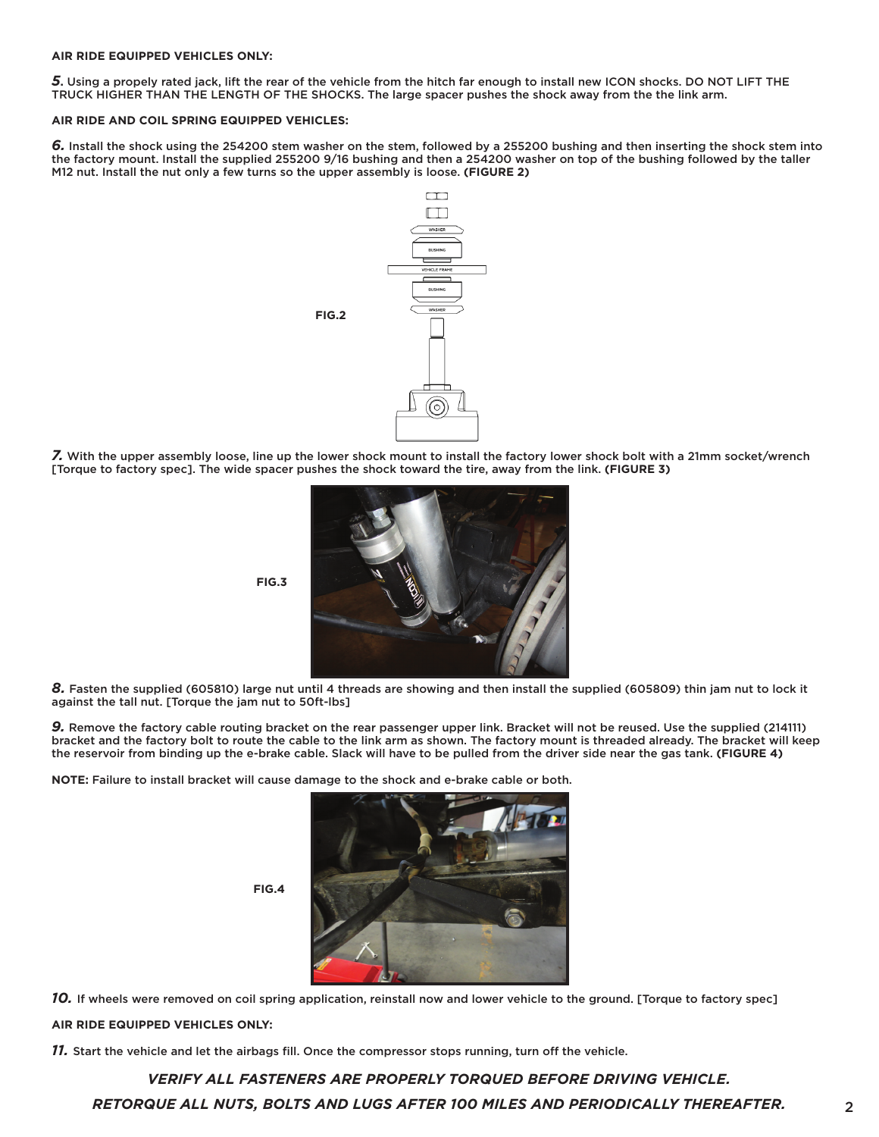#### **AIR RIDE EQUIPPED VEHICLES ONLY:**

*5***.** Using a propely rated jack, lift the rear of the vehicle from the hitch far enough to install new ICON shocks. DO NOT LIFT THE TRUCK HIGHER THAN THE LENGTH OF THE SHOCKS. The large spacer pushes the shock away from the the link arm.

#### **AIR RIDE AND COIL SPRING EQUIPPED VEHICLES:**

*6.* Install the shock using the 254200 stem washer on the stem, followed by a 255200 bushing and then inserting the shock stem into the factory mount. Install the supplied 255200 9/16 bushing and then a 254200 washer on top of the bushing followed by the taller M12 nut. Install the nut only a few turns so the upper assembly is loose. **(FIGURE 2)**



*7.* With the upper assembly loose, line up the lower shock mount to install the factory lower shock bolt with a 21mm socket/wrench [Torque to factory spec]. The wide spacer pushes the shock toward the tire, away from the link. **(FIGURE 3)**



*8.* Fasten the supplied (605810) large nut until 4 threads are showing and then install the supplied (605809) thin jam nut to lock it against the tall nut. [Torque the jam nut to 50ft-lbs]

*9.* Remove the factory cable routing bracket on the rear passenger upper link. Bracket will not be reused. Use the supplied (214111) bracket and the factory bolt to route the cable to the link arm as shown. The factory mount is threaded already. The bracket will keep the reservoir from binding up the e-brake cable. Slack will have to be pulled from the driver side near the gas tank. **(FIGURE 4)**

**NOTE:** Failure to install bracket will cause damage to the shock and e-brake cable or both.

**FIG.4**



*10.* If wheels were removed on coil spring application, reinstall now and lower vehicle to the ground. [Torque to factory spec] **AIR RIDE EQUIPPED VEHICLES ONLY:**

*11.* Start the vehicle and let the airbags fill. Once the compressor stops running, turn off the vehicle.

*RETORQUE ALL NUTS, BOLTS AND LUGS AFTER 100 MILES AND PERIODICALLY THEREAFTER. VERIFY ALL FASTENERS ARE PROPERLY TORQUED BEFORE DRIVING VEHICLE.*